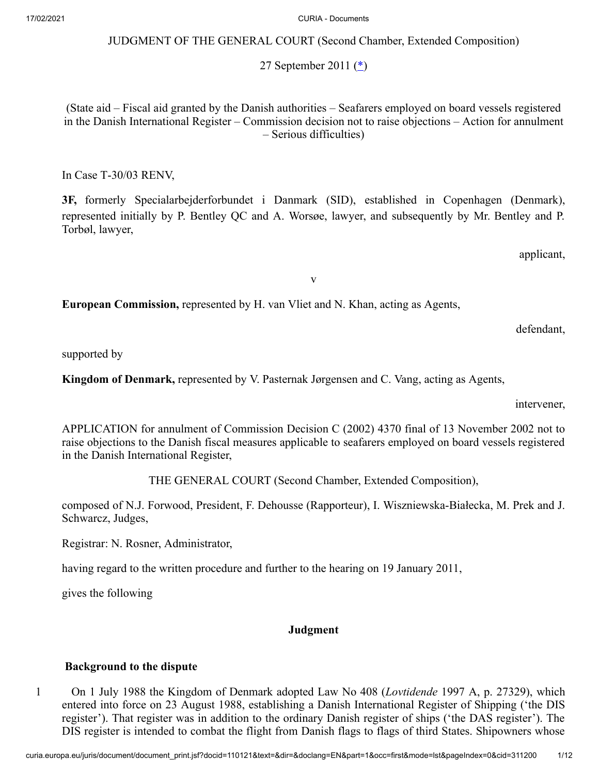JUDGMENT OF THE GENERAL COURT (Second Chamber, Extended Composition)

<span id="page-0-0"></span>27 September 2011 ([\\*\)](#page-11-0)

(State aid – Fiscal aid granted by the Danish authorities – Seafarers employed on board vessels registered in the Danish International Register – Commission decision not to raise objections – Action for annulment – Serious difficulties)

In Case T‑30/03 RENV,

**3F,** formerly Specialarbejderforbundet i Danmark (SID), established in Copenhagen (Denmark), represented initially by P. Bentley QC and A. Worsøe, lawyer, and subsequently by Mr. Bentley and P. Torbøl, lawyer,

applicant,

v

**European Commission,** represented by H. van Vliet and N. Khan, acting as Agents,

defendant,

supported by

**Kingdom of Denmark,** represented by V. Pasternak Jørgensen and C. Vang, acting as Agents,

intervener,

APPLICATION for annulment of Commission Decision C (2002) 4370 final of 13 November 2002 not to raise objections to the Danish fiscal measures applicable to seafarers employed on board vessels registered in the Danish International Register,

THE GENERAL COURT (Second Chamber, Extended Composition),

composed of N.J. Forwood, President, F. Dehousse (Rapporteur), I. Wiszniewska-Białecka, M. Prek and J. Schwarcz, Judges,

Registrar: N. Rosner, Administrator,

having regard to the written procedure and further to the hearing on 19 January 2011,

gives the following

## **Judgment**

### **Background to the dispute**

1 On 1 July 1988 the Kingdom of Denmark adopted Law No 408 (*Lovtidende* 1997 A, p. 27329), which entered into force on 23 August 1988, establishing a Danish International Register of Shipping ('the DIS register'). That register was in addition to the ordinary Danish register of ships ('the DAS register'). The DIS register is intended to combat the flight from Danish flags to flags of third States. Shipowners whose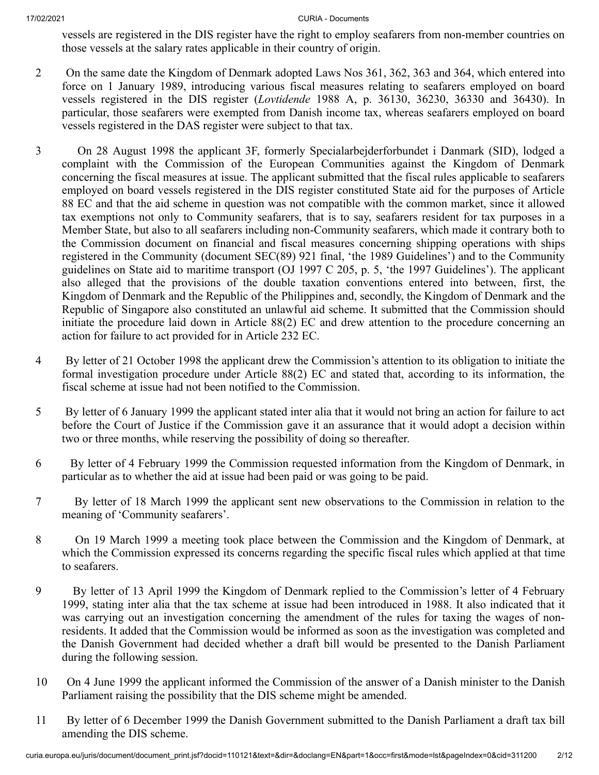vessels are registered in the DIS register have the right to employ seafarers from non-member countries on those vessels at the salary rates applicable in their country of origin.

- 2 On the same date the Kingdom of Denmark adopted Laws Nos 361, 362, 363 and 364, which entered into force on 1 January 1989, introducing various fiscal measures relating to seafarers employed on board vessels registered in the DIS register (*Lovtidende* 1988 A, p. 36130, 36230, 36330 and 36430). In particular, those seafarers were exempted from Danish income tax, whereas seafarers employed on board vessels registered in the DAS register were subject to that tax.
- 3 On 28 August 1998 the applicant 3F, formerly Specialarbejderforbundet i Danmark (SID), lodged a complaint with the Commission of the European Communities against the Kingdom of Denmark concerning the fiscal measures at issue. The applicant submitted that the fiscal rules applicable to seafarers employed on board vessels registered in the DIS register constituted State aid for the purposes of Article 88 EC and that the aid scheme in question was not compatible with the common market, since it allowed tax exemptions not only to Community seafarers, that is to say, seafarers resident for tax purposes in a Member State, but also to all seafarers including non‑Community seafarers, which made it contrary both to the Commission document on financial and fiscal measures concerning shipping operations with ships registered in the Community (document SEC(89) 921 final, 'the 1989 Guidelines') and to the Community guidelines on State aid to maritime transport (OJ 1997 C 205, p. 5, 'the 1997 Guidelines'). The applicant also alleged that the provisions of the double taxation conventions entered into between, first, the Kingdom of Denmark and the Republic of the Philippines and, secondly, the Kingdom of Denmark and the Republic of Singapore also constituted an unlawful aid scheme. It submitted that the Commission should initiate the procedure laid down in Article 88(2) EC and drew attention to the procedure concerning an action for failure to act provided for in Article 232 EC.
- 4 By letter of 21 October 1998 the applicant drew the Commission's attention to its obligation to initiate the formal investigation procedure under Article 88(2) EC and stated that, according to its information, the fiscal scheme at issue had not been notified to the Commission.
- 5 By letter of 6 January 1999 the applicant stated inter alia that it would not bring an action for failure to act before the Court of Justice if the Commission gave it an assurance that it would adopt a decision within two or three months, while reserving the possibility of doing so thereafter.
- 6 By letter of 4 February 1999 the Commission requested information from the Kingdom of Denmark, in particular as to whether the aid at issue had been paid or was going to be paid.
- 7 By letter of 18 March 1999 the applicant sent new observations to the Commission in relation to the meaning of 'Community seafarers'.
- 8 On 19 March 1999 a meeting took place between the Commission and the Kingdom of Denmark, at which the Commission expressed its concerns regarding the specific fiscal rules which applied at that time to seafarers.
- 9 By letter of 13 April 1999 the Kingdom of Denmark replied to the Commission's letter of 4 February 1999, stating inter alia that the tax scheme at issue had been introduced in 1988. It also indicated that it was carrying out an investigation concerning the amendment of the rules for taxing the wages of nonresidents. It added that the Commission would be informed as soon as the investigation was completed and the Danish Government had decided whether a draft bill would be presented to the Danish Parliament during the following session.
- 10 On 4 June 1999 the applicant informed the Commission of the answer of a Danish minister to the Danish Parliament raising the possibility that the DIS scheme might be amended.
- 11 By letter of 6 December 1999 the Danish Government submitted to the Danish Parliament a draft tax bill amending the DIS scheme.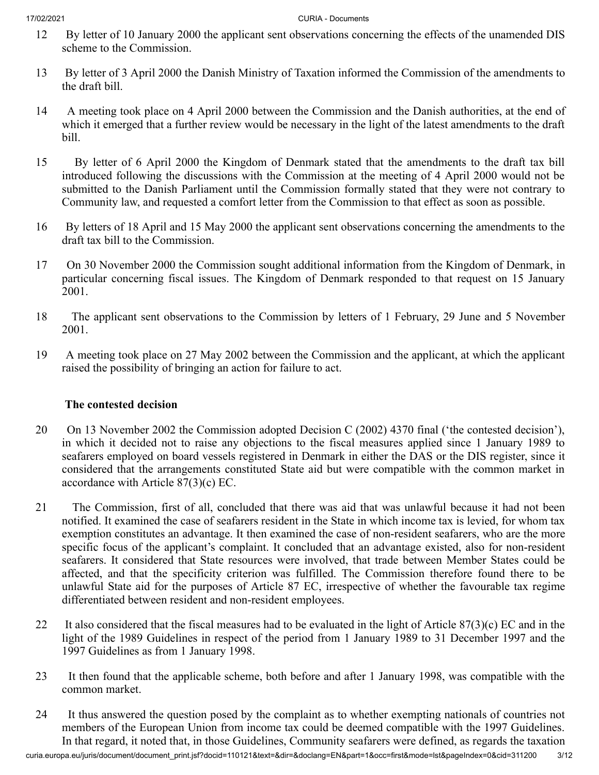- 12 By letter of 10 January 2000 the applicant sent observations concerning the effects of the unamended DIS scheme to the Commission.
- 13 By letter of 3 April 2000 the Danish Ministry of Taxation informed the Commission of the amendments to the draft bill.
- 14 A meeting took place on 4 April 2000 between the Commission and the Danish authorities, at the end of which it emerged that a further review would be necessary in the light of the latest amendments to the draft bill.
- 15 By letter of 6 April 2000 the Kingdom of Denmark stated that the amendments to the draft tax bill introduced following the discussions with the Commission at the meeting of 4 April 2000 would not be submitted to the Danish Parliament until the Commission formally stated that they were not contrary to Community law, and requested a comfort letter from the Commission to that effect as soon as possible.
- 16 By letters of 18 April and 15 May 2000 the applicant sent observations concerning the amendments to the draft tax bill to the Commission.
- 17 On 30 November 2000 the Commission sought additional information from the Kingdom of Denmark, in particular concerning fiscal issues. The Kingdom of Denmark responded to that request on 15 January 2001.
- 18 The applicant sent observations to the Commission by letters of 1 February, 29 June and 5 November 2001.
- 19 A meeting took place on 27 May 2002 between the Commission and the applicant, at which the applicant raised the possibility of bringing an action for failure to act.

## **The contested decision**

- 20 On 13 November 2002 the Commission adopted Decision C (2002) 4370 final ('the contested decision'), in which it decided not to raise any objections to the fiscal measures applied since 1 January 1989 to seafarers employed on board vessels registered in Denmark in either the DAS or the DIS register, since it considered that the arrangements constituted State aid but were compatible with the common market in accordance with Article 87(3)(c) EC.
- 21 The Commission, first of all, concluded that there was aid that was unlawful because it had not been notified. It examined the case of seafarers resident in the State in which income tax is levied, for whom tax exemption constitutes an advantage. It then examined the case of non-resident seafarers, who are the more specific focus of the applicant's complaint. It concluded that an advantage existed, also for non-resident seafarers. It considered that State resources were involved, that trade between Member States could be affected, and that the specificity criterion was fulfilled. The Commission therefore found there to be unlawful State aid for the purposes of Article 87 EC, irrespective of whether the favourable tax regime differentiated between resident and non-resident employees.
- 22 It also considered that the fiscal measures had to be evaluated in the light of Article  $87(3)(c)$  EC and in the light of the 1989 Guidelines in respect of the period from 1 January 1989 to 31 December 1997 and the 1997 Guidelines as from 1 January 1998.
- 23 It then found that the applicable scheme, both before and after 1 January 1998, was compatible with the common market.
- 24 It thus answered the question posed by the complaint as to whether exempting nationals of countries not members of the European Union from income tax could be deemed compatible with the 1997 Guidelines. In that regard, it noted that, in those Guidelines, Community seafarers were defined, as regards the taxation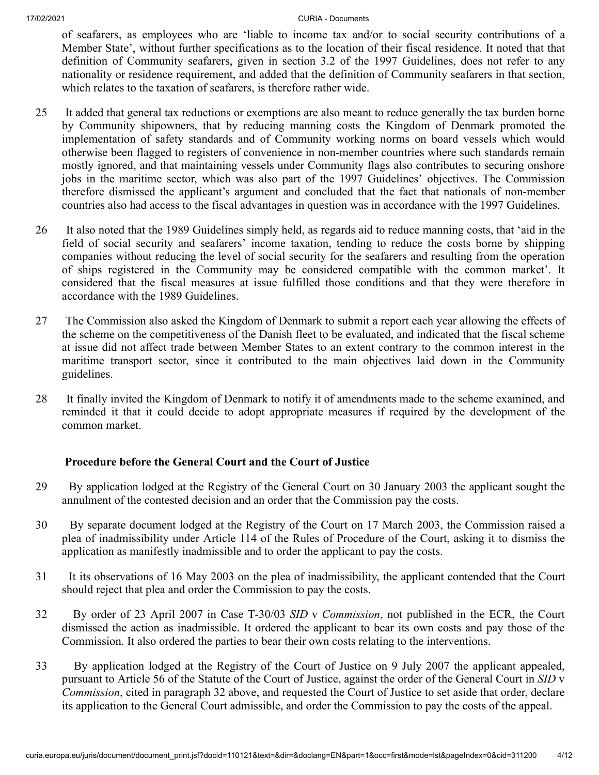of seafarers, as employees who are 'liable to income tax and/or to social security contributions of a Member State', without further specifications as to the location of their fiscal residence. It noted that that definition of Community seafarers, given in section 3.2 of the 1997 Guidelines, does not refer to any nationality or residence requirement, and added that the definition of Community seafarers in that section, which relates to the taxation of seafarers, is therefore rather wide.

- 25 It added that general tax reductions or exemptions are also meant to reduce generally the tax burden borne by Community shipowners, that by reducing manning costs the Kingdom of Denmark promoted the implementation of safety standards and of Community working norms on board vessels which would otherwise been flagged to registers of convenience in non-member countries where such standards remain mostly ignored, and that maintaining vessels under Community flags also contributes to securing onshore jobs in the maritime sector, which was also part of the 1997 Guidelines' objectives. The Commission therefore dismissed the applicant's argument and concluded that the fact that nationals of non-member countries also had access to the fiscal advantages in question was in accordance with the 1997 Guidelines.
- 26 It also noted that the 1989 Guidelines simply held, as regards aid to reduce manning costs, that 'aid in the field of social security and seafarers' income taxation, tending to reduce the costs borne by shipping companies without reducing the level of social security for the seafarers and resulting from the operation of ships registered in the Community may be considered compatible with the common market'. It considered that the fiscal measures at issue fulfilled those conditions and that they were therefore in accordance with the 1989 Guidelines.
- 27 The Commission also asked the Kingdom of Denmark to submit a report each year allowing the effects of the scheme on the competitiveness of the Danish fleet to be evaluated, and indicated that the fiscal scheme at issue did not affect trade between Member States to an extent contrary to the common interest in the maritime transport sector, since it contributed to the main objectives laid down in the Community guidelines.
- 28 It finally invited the Kingdom of Denmark to notify it of amendments made to the scheme examined, and reminded it that it could decide to adopt appropriate measures if required by the development of the common market.

## **Procedure before the General Court and the Court of Justice**

- 29 By application lodged at the Registry of the General Court on 30 January 2003 the applicant sought the annulment of the contested decision and an order that the Commission pay the costs.
- 30 By separate document lodged at the Registry of the Court on 17 March 2003, the Commission raised a plea of inadmissibility under Article 114 of the Rules of Procedure of the Court, asking it to dismiss the application as manifestly inadmissible and to order the applicant to pay the costs.
- 31 It its observations of 16 May 2003 on the plea of inadmissibility, the applicant contended that the Court should reject that plea and order the Commission to pay the costs.
- 32 By order of 23 April 2007 in Case T‑30/03 *SID* v *Commission*, not published in the ECR, the Court dismissed the action as inadmissible. It ordered the applicant to bear its own costs and pay those of the Commission. It also ordered the parties to bear their own costs relating to the interventions.
- 33 By application lodged at the Registry of the Court of Justice on 9 July 2007 the applicant appealed, pursuant to Article 56 of the Statute of the Court of Justice, against the order of the General Court in *SID* v *Commission*, cited in paragraph 32 above, and requested the Court of Justice to set aside that order, declare its application to the General Court admissible, and order the Commission to pay the costs of the appeal.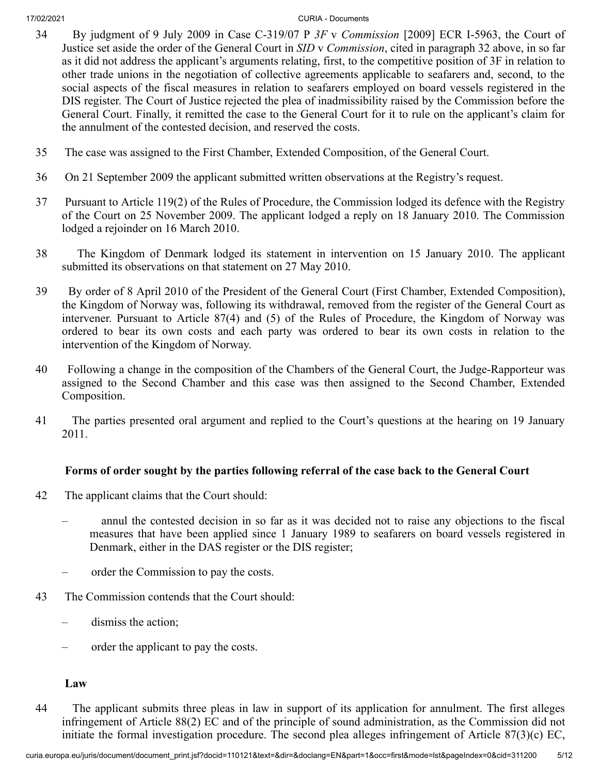- 34 By judgment of 9 July 2009 in Case C‑319/07 P *3F* v *Commission* [2009] ECR I‑5963, the Court of Justice set aside the order of the General Court in *SID* v *Commission*, cited in paragraph 32 above, in so far as it did not address the applicant's arguments relating, first, to the competitive position of 3F in relation to other trade unions in the negotiation of collective agreements applicable to seafarers and, second, to the social aspects of the fiscal measures in relation to seafarers employed on board vessels registered in the DIS register. The Court of Justice rejected the plea of inadmissibility raised by the Commission before the General Court. Finally, it remitted the case to the General Court for it to rule on the applicant's claim for the annulment of the contested decision, and reserved the costs.
- 35 The case was assigned to the First Chamber, Extended Composition, of the General Court.
- 36 On 21 September 2009 the applicant submitted written observations at the Registry's request.
- 37 Pursuant to Article 119(2) of the Rules of Procedure, the Commission lodged its defence with the Registry of the Court on 25 November 2009. The applicant lodged a reply on 18 January 2010. The Commission lodged a rejoinder on 16 March 2010.
- 38 The Kingdom of Denmark lodged its statement in intervention on 15 January 2010. The applicant submitted its observations on that statement on 27 May 2010.
- 39 By order of 8 April 2010 of the President of the General Court (First Chamber, Extended Composition), the Kingdom of Norway was, following its withdrawal, removed from the register of the General Court as intervener. Pursuant to Article 87(4) and (5) of the Rules of Procedure, the Kingdom of Norway was ordered to bear its own costs and each party was ordered to bear its own costs in relation to the intervention of the Kingdom of Norway.
- 40 Following a change in the composition of the Chambers of the General Court, the Judge-Rapporteur was assigned to the Second Chamber and this case was then assigned to the Second Chamber, Extended Composition.
- 41 The parties presented oral argument and replied to the Court's questions at the hearing on 19 January 2011.

## **Forms of order sought by the parties following referral of the case back to the General Court**

- 42 The applicant claims that the Court should:
	- annul the contested decision in so far as it was decided not to raise any objections to the fiscal measures that have been applied since 1 January 1989 to seafarers on board vessels registered in Denmark, either in the DAS register or the DIS register;
	- order the Commission to pay the costs.
- 43 The Commission contends that the Court should:
	- dismiss the action;
	- order the applicant to pay the costs.

## **Law**

44 The applicant submits three pleas in law in support of its application for annulment. The first alleges infringement of Article 88(2) EC and of the principle of sound administration, as the Commission did not initiate the formal investigation procedure. The second plea alleges infringement of Article 87(3)(c) EC,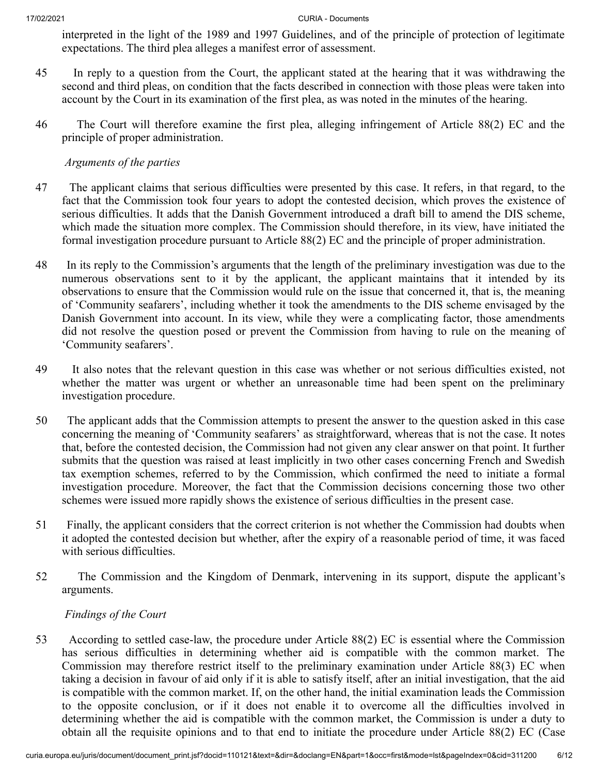interpreted in the light of the 1989 and 1997 Guidelines, and of the principle of protection of legitimate expectations. The third plea alleges a manifest error of assessment.

- 45 In reply to a question from the Court, the applicant stated at the hearing that it was withdrawing the second and third pleas, on condition that the facts described in connection with those pleas were taken into account by the Court in its examination of the first plea, as was noted in the minutes of the hearing.
- 46 The Court will therefore examine the first plea, alleging infringement of Article 88(2) EC and the principle of proper administration.

## *Arguments of the parties*

- 47 The applicant claims that serious difficulties were presented by this case. It refers, in that regard, to the fact that the Commission took four years to adopt the contested decision, which proves the existence of serious difficulties. It adds that the Danish Government introduced a draft bill to amend the DIS scheme, which made the situation more complex. The Commission should therefore, in its view, have initiated the formal investigation procedure pursuant to Article 88(2) EC and the principle of proper administration.
- 48 In its reply to the Commission's arguments that the length of the preliminary investigation was due to the numerous observations sent to it by the applicant, the applicant maintains that it intended by its observations to ensure that the Commission would rule on the issue that concerned it, that is, the meaning of 'Community seafarers', including whether it took the amendments to the DIS scheme envisaged by the Danish Government into account. In its view, while they were a complicating factor, those amendments did not resolve the question posed or prevent the Commission from having to rule on the meaning of 'Community seafarers'.
- 49 It also notes that the relevant question in this case was whether or not serious difficulties existed, not whether the matter was urgent or whether an unreasonable time had been spent on the preliminary investigation procedure.
- 50 The applicant adds that the Commission attempts to present the answer to the question asked in this case concerning the meaning of 'Community seafarers' as straightforward, whereas that is not the case. It notes that, before the contested decision, the Commission had not given any clear answer on that point. It further submits that the question was raised at least implicitly in two other cases concerning French and Swedish tax exemption schemes, referred to by the Commission, which confirmed the need to initiate a formal investigation procedure. Moreover, the fact that the Commission decisions concerning those two other schemes were issued more rapidly shows the existence of serious difficulties in the present case.
- 51 Finally, the applicant considers that the correct criterion is not whether the Commission had doubts when it adopted the contested decision but whether, after the expiry of a reasonable period of time, it was faced with serious difficulties.
- 52 The Commission and the Kingdom of Denmark, intervening in its support, dispute the applicant's arguments.

## *Findings of the Court*

53 According to settled case-law, the procedure under Article 88(2) EC is essential where the Commission has serious difficulties in determining whether aid is compatible with the common market. The Commission may therefore restrict itself to the preliminary examination under Article 88(3) EC when taking a decision in favour of aid only if it is able to satisfy itself, after an initial investigation, that the aid is compatible with the common market. If, on the other hand, the initial examination leads the Commission to the opposite conclusion, or if it does not enable it to overcome all the difficulties involved in determining whether the aid is compatible with the common market, the Commission is under a duty to obtain all the requisite opinions and to that end to initiate the procedure under Article 88(2) EC (Case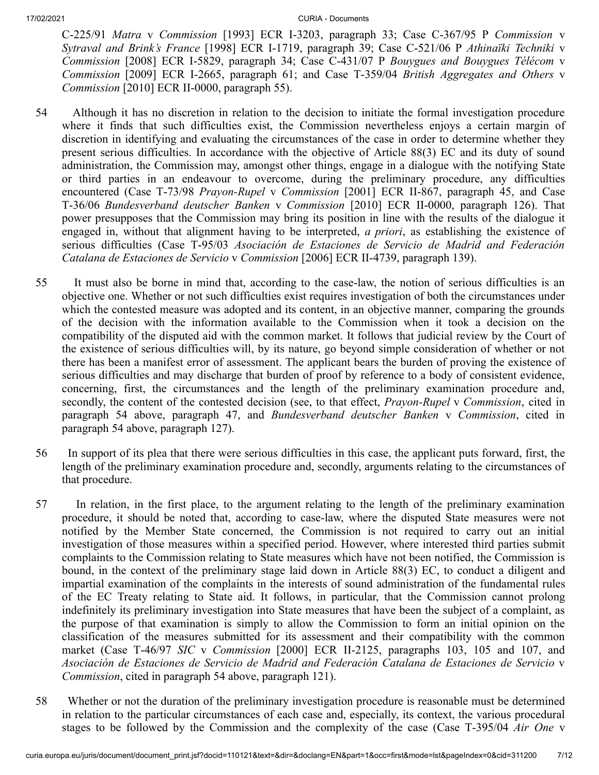C‑225/91 *Matra* v *Commission* [1993] ECR I‑3203, paragraph 33; Case C‑367/95 P *Commission* v *Sytraval and Brink's France* [1998] ECR I‑1719, paragraph 39; Case C‑521/06 P *Athinaïki Techniki* v *Commission* [2008] ECR I‑5829, paragraph 34; Case C‑431/07 P *Bouygues and Bouygues Télécom* v *Commission* [2009] ECR I‑2665, paragraph 61; and Case T‑359/04 *British Aggregates and Others* v *Commission* [2010] ECR II‑0000, paragraph 55).

- 54 Although it has no discretion in relation to the decision to initiate the formal investigation procedure where it finds that such difficulties exist, the Commission nevertheless enjoys a certain margin of discretion in identifying and evaluating the circumstances of the case in order to determine whether they present serious difficulties. In accordance with the objective of Article 88(3) EC and its duty of sound administration, the Commission may, amongst other things, engage in a dialogue with the notifying State or third parties in an endeavour to overcome, during the preliminary procedure, any difficulties encountered (Case T‑73/98 *Prayon-Rupel* v *Commission* [2001] ECR II‑867, paragraph 45, and Case T‑36/06 *Bundesverband deutscher Banken* v *Commission* [2010] ECR II‑0000, paragraph 126). That power presupposes that the Commission may bring its position in line with the results of the dialogue it engaged in, without that alignment having to be interpreted, *a priori*, as establishing the existence of serious difficulties (Case T‑95/03 *Asociación de Estaciones de Servicio de Madrid and Federación Catalana de Estaciones de Servicio* v *Commission* [2006] ECR II‑4739, paragraph 139).
- 55 It must also be borne in mind that, according to the case-law, the notion of serious difficulties is an objective one. Whether or not such difficulties exist requires investigation of both the circumstances under which the contested measure was adopted and its content, in an objective manner, comparing the grounds of the decision with the information available to the Commission when it took a decision on the compatibility of the disputed aid with the common market. It follows that judicial review by the Court of the existence of serious difficulties will, by its nature, go beyond simple consideration of whether or not there has been a manifest error of assessment. The applicant bears the burden of proving the existence of serious difficulties and may discharge that burden of proof by reference to a body of consistent evidence, concerning, first, the circumstances and the length of the preliminary examination procedure and, secondly, the content of the contested decision (see, to that effect, *Prayon-Rupel* v *Commission*, cited in paragraph 54 above, paragraph 47, and *Bundesverband deutscher Banken* v *Commission*, cited in paragraph 54 above, paragraph 127).
- 56 In support of its plea that there were serious difficulties in this case, the applicant puts forward, first, the length of the preliminary examination procedure and, secondly, arguments relating to the circumstances of that procedure.
- 57 In relation, in the first place, to the argument relating to the length of the preliminary examination procedure, it should be noted that, according to case-law, where the disputed State measures were not notified by the Member State concerned, the Commission is not required to carry out an initial investigation of those measures within a specified period. However, where interested third parties submit complaints to the Commission relating to State measures which have not been notified, the Commission is bound, in the context of the preliminary stage laid down in Article 88(3) EC, to conduct a diligent and impartial examination of the complaints in the interests of sound administration of the fundamental rules of the EC Treaty relating to State aid. It follows, in particular, that the Commission cannot prolong indefinitely its preliminary investigation into State measures that have been the subject of a complaint, as the purpose of that examination is simply to allow the Commission to form an initial opinion on the classification of the measures submitted for its assessment and their compatibility with the common market (Case T‑46/97 *SIC* v *Commission* [2000] ECR II‑2125, paragraphs 103, 105 and 107, and *Asociación de Estaciones de Servicio de Madrid and Federación Catalana de Estaciones de Servicio* v *Commission*, cited in paragraph 54 above, paragraph 121).
- 58 Whether or not the duration of the preliminary investigation procedure is reasonable must be determined in relation to the particular circumstances of each case and, especially, its context, the various procedural stages to be followed by the Commission and the complexity of the case (Case T‑395/04 *Air One* v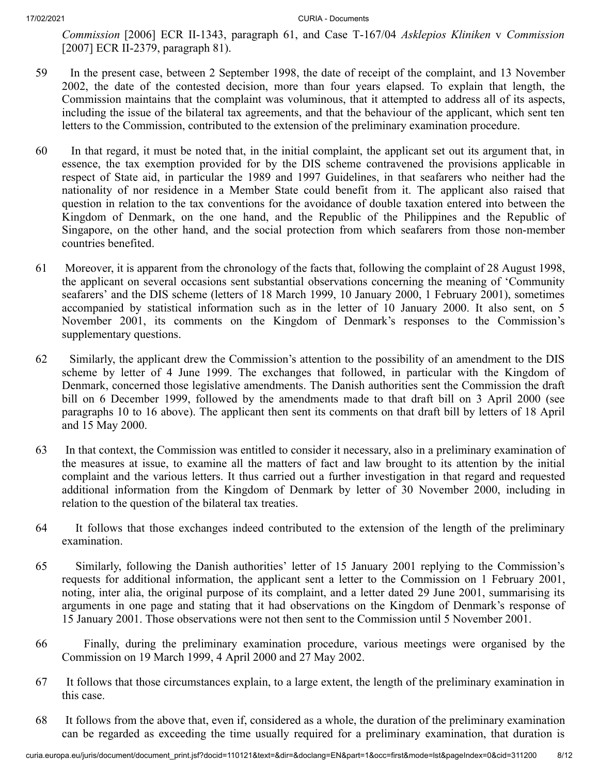*Commission* [2006] ECR II‑1343, paragraph 61, and Case T‑167/04 *Asklepios Kliniken* v *Commission* [2007] ECR II-2379, paragraph 81).

- 59 In the present case, between 2 September 1998, the date of receipt of the complaint, and 13 November 2002, the date of the contested decision, more than four years elapsed. To explain that length, the Commission maintains that the complaint was voluminous, that it attempted to address all of its aspects, including the issue of the bilateral tax agreements, and that the behaviour of the applicant, which sent ten letters to the Commission, contributed to the extension of the preliminary examination procedure.
- 60 In that regard, it must be noted that, in the initial complaint, the applicant set out its argument that, in essence, the tax exemption provided for by the DIS scheme contravened the provisions applicable in respect of State aid, in particular the 1989 and 1997 Guidelines, in that seafarers who neither had the nationality of nor residence in a Member State could benefit from it. The applicant also raised that question in relation to the tax conventions for the avoidance of double taxation entered into between the Kingdom of Denmark, on the one hand, and the Republic of the Philippines and the Republic of Singapore, on the other hand, and the social protection from which seafarers from those non-member countries benefited.
- 61 Moreover, it is apparent from the chronology of the facts that, following the complaint of 28 August 1998, the applicant on several occasions sent substantial observations concerning the meaning of 'Community seafarers' and the DIS scheme (letters of 18 March 1999, 10 January 2000, 1 February 2001), sometimes accompanied by statistical information such as in the letter of 10 January 2000. It also sent, on 5 November 2001, its comments on the Kingdom of Denmark's responses to the Commission's supplementary questions.
- 62 Similarly, the applicant drew the Commission's attention to the possibility of an amendment to the DIS scheme by letter of 4 June 1999. The exchanges that followed, in particular with the Kingdom of Denmark, concerned those legislative amendments. The Danish authorities sent the Commission the draft bill on 6 December 1999, followed by the amendments made to that draft bill on 3 April 2000 (see paragraphs 10 to 16 above). The applicant then sent its comments on that draft bill by letters of 18 April and 15 May 2000.
- 63 In that context, the Commission was entitled to consider it necessary, also in a preliminary examination of the measures at issue, to examine all the matters of fact and law brought to its attention by the initial complaint and the various letters. It thus carried out a further investigation in that regard and requested additional information from the Kingdom of Denmark by letter of 30 November 2000, including in relation to the question of the bilateral tax treaties.
- 64 It follows that those exchanges indeed contributed to the extension of the length of the preliminary examination.
- 65 Similarly, following the Danish authorities' letter of 15 January 2001 replying to the Commission's requests for additional information, the applicant sent a letter to the Commission on 1 February 2001, noting, inter alia, the original purpose of its complaint, and a letter dated 29 June 2001, summarising its arguments in one page and stating that it had observations on the Kingdom of Denmark's response of 15 January 2001. Those observations were not then sent to the Commission until 5 November 2001.
- 66 Finally, during the preliminary examination procedure, various meetings were organised by the Commission on 19 March 1999, 4 April 2000 and 27 May 2002.
- 67 It follows that those circumstances explain, to a large extent, the length of the preliminary examination in this case.
- 68 It follows from the above that, even if, considered as a whole, the duration of the preliminary examination can be regarded as exceeding the time usually required for a preliminary examination, that duration is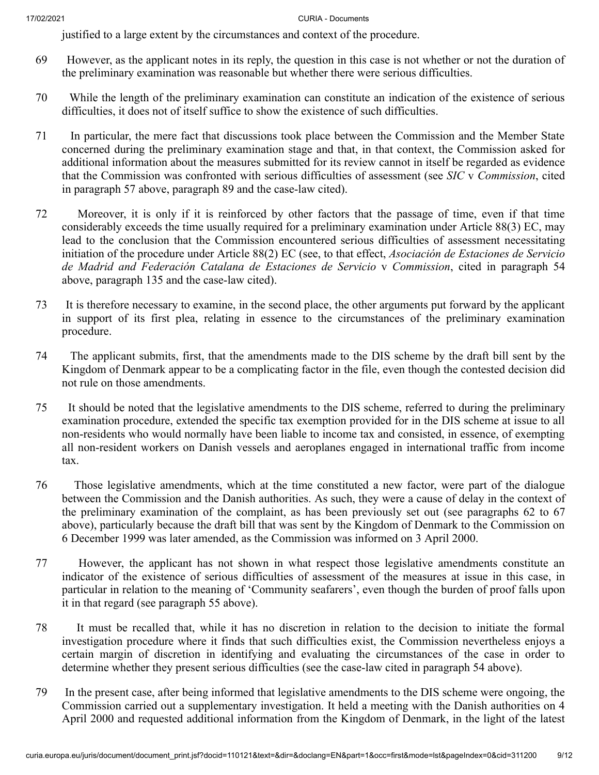justified to a large extent by the circumstances and context of the procedure.

- 69 However, as the applicant notes in its reply, the question in this case is not whether or not the duration of the preliminary examination was reasonable but whether there were serious difficulties.
- 70 While the length of the preliminary examination can constitute an indication of the existence of serious difficulties, it does not of itself suffice to show the existence of such difficulties.
- 71 In particular, the mere fact that discussions took place between the Commission and the Member State concerned during the preliminary examination stage and that, in that context, the Commission asked for additional information about the measures submitted for its review cannot in itself be regarded as evidence that the Commission was confronted with serious difficulties of assessment (see *SIC* v *Commission*, cited in paragraph 57 above, paragraph 89 and the case-law cited).
- 72 Moreover, it is only if it is reinforced by other factors that the passage of time, even if that time considerably exceeds the time usually required for a preliminary examination under Article 88(3) EC, may lead to the conclusion that the Commission encountered serious difficulties of assessment necessitating initiation of the procedure under Article 88(2) EC (see, to that effect, *Asociación de Estaciones de Servicio de Madrid and Federación Catalana de Estaciones de Servicio* v *Commission*, cited in paragraph 54 above, paragraph 135 and the case-law cited).
- 73 It is therefore necessary to examine, in the second place, the other arguments put forward by the applicant in support of its first plea, relating in essence to the circumstances of the preliminary examination procedure.
- 74 The applicant submits, first, that the amendments made to the DIS scheme by the draft bill sent by the Kingdom of Denmark appear to be a complicating factor in the file, even though the contested decision did not rule on those amendments.
- 75 It should be noted that the legislative amendments to the DIS scheme, referred to during the preliminary examination procedure, extended the specific tax exemption provided for in the DIS scheme at issue to all non-residents who would normally have been liable to income tax and consisted, in essence, of exempting all non-resident workers on Danish vessels and aeroplanes engaged in international traffic from income tax.
- 76 Those legislative amendments, which at the time constituted a new factor, were part of the dialogue between the Commission and the Danish authorities. As such, they were a cause of delay in the context of the preliminary examination of the complaint, as has been previously set out (see paragraphs 62 to 67 above), particularly because the draft bill that was sent by the Kingdom of Denmark to the Commission on 6 December 1999 was later amended, as the Commission was informed on 3 April 2000.
- 77 However, the applicant has not shown in what respect those legislative amendments constitute an indicator of the existence of serious difficulties of assessment of the measures at issue in this case, in particular in relation to the meaning of 'Community seafarers', even though the burden of proof falls upon it in that regard (see paragraph 55 above).
- 78 It must be recalled that, while it has no discretion in relation to the decision to initiate the formal investigation procedure where it finds that such difficulties exist, the Commission nevertheless enjoys a certain margin of discretion in identifying and evaluating the circumstances of the case in order to determine whether they present serious difficulties (see the case-law cited in paragraph 54 above).
- 79 In the present case, after being informed that legislative amendments to the DIS scheme were ongoing, the Commission carried out a supplementary investigation. It held a meeting with the Danish authorities on 4 April 2000 and requested additional information from the Kingdom of Denmark, in the light of the latest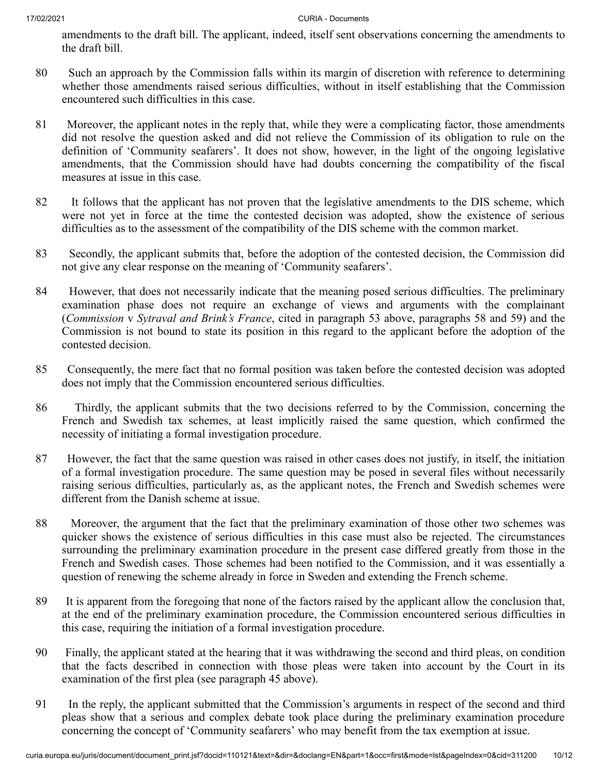amendments to the draft bill. The applicant, indeed, itself sent observations concerning the amendments to the draft bill.

- 80 Such an approach by the Commission falls within its margin of discretion with reference to determining whether those amendments raised serious difficulties, without in itself establishing that the Commission encountered such difficulties in this case.
- 81 Moreover, the applicant notes in the reply that, while they were a complicating factor, those amendments did not resolve the question asked and did not relieve the Commission of its obligation to rule on the definition of 'Community seafarers'. It does not show, however, in the light of the ongoing legislative amendments, that the Commission should have had doubts concerning the compatibility of the fiscal measures at issue in this case.
- 82 It follows that the applicant has not proven that the legislative amendments to the DIS scheme, which were not yet in force at the time the contested decision was adopted, show the existence of serious difficulties as to the assessment of the compatibility of the DIS scheme with the common market.
- 83 Secondly, the applicant submits that, before the adoption of the contested decision, the Commission did not give any clear response on the meaning of 'Community seafarers'.
- 84 However, that does not necessarily indicate that the meaning posed serious difficulties. The preliminary examination phase does not require an exchange of views and arguments with the complainant (*Commission* v *Sytraval and Brink's France*, cited in paragraph 53 above, paragraphs 58 and 59) and the Commission is not bound to state its position in this regard to the applicant before the adoption of the contested decision.
- 85 Consequently, the mere fact that no formal position was taken before the contested decision was adopted does not imply that the Commission encountered serious difficulties.
- 86 Thirdly, the applicant submits that the two decisions referred to by the Commission, concerning the French and Swedish tax schemes, at least implicitly raised the same question, which confirmed the necessity of initiating a formal investigation procedure.
- 87 However, the fact that the same question was raised in other cases does not justify, in itself, the initiation of a formal investigation procedure. The same question may be posed in several files without necessarily raising serious difficulties, particularly as, as the applicant notes, the French and Swedish schemes were different from the Danish scheme at issue.
- 88 Moreover, the argument that the fact that the preliminary examination of those other two schemes was quicker shows the existence of serious difficulties in this case must also be rejected. The circumstances surrounding the preliminary examination procedure in the present case differed greatly from those in the French and Swedish cases. Those schemes had been notified to the Commission, and it was essentially a question of renewing the scheme already in force in Sweden and extending the French scheme.
- 89 It is apparent from the foregoing that none of the factors raised by the applicant allow the conclusion that, at the end of the preliminary examination procedure, the Commission encountered serious difficulties in this case, requiring the initiation of a formal investigation procedure.
- 90 Finally, the applicant stated at the hearing that it was withdrawing the second and third pleas, on condition that the facts described in connection with those pleas were taken into account by the Court in its examination of the first plea (see paragraph 45 above).
- 91 In the reply, the applicant submitted that the Commission's arguments in respect of the second and third pleas show that a serious and complex debate took place during the preliminary examination procedure concerning the concept of 'Community seafarers' who may benefit from the tax exemption at issue.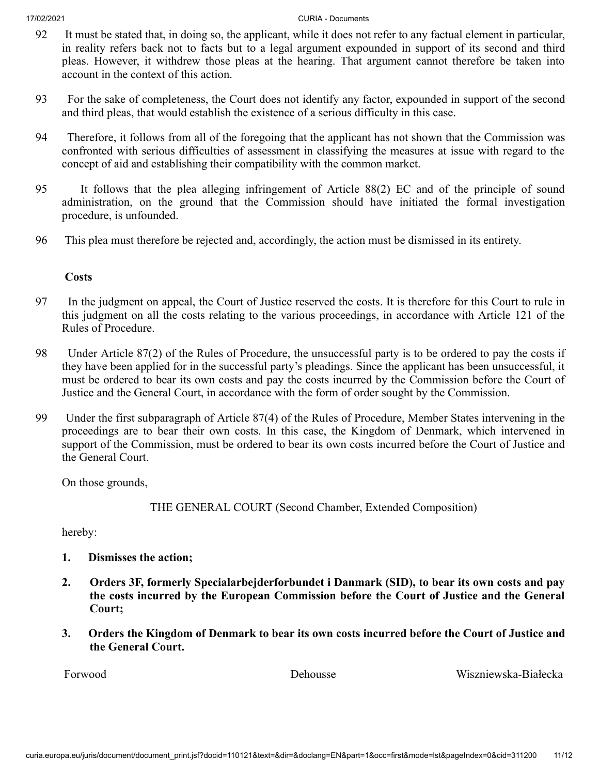- 92 It must be stated that, in doing so, the applicant, while it does not refer to any factual element in particular, in reality refers back not to facts but to a legal argument expounded in support of its second and third pleas. However, it withdrew those pleas at the hearing. That argument cannot therefore be taken into account in the context of this action.
- 93 For the sake of completeness, the Court does not identify any factor, expounded in support of the second and third pleas, that would establish the existence of a serious difficulty in this case.
- 94 Therefore, it follows from all of the foregoing that the applicant has not shown that the Commission was confronted with serious difficulties of assessment in classifying the measures at issue with regard to the concept of aid and establishing their compatibility with the common market.
- 95 It follows that the plea alleging infringement of Article 88(2) EC and of the principle of sound administration, on the ground that the Commission should have initiated the formal investigation procedure, is unfounded.
- 96 This plea must therefore be rejected and, accordingly, the action must be dismissed in its entirety.

# **Costs**

- 97 In the judgment on appeal, the Court of Justice reserved the costs. It is therefore for this Court to rule in this judgment on all the costs relating to the various proceedings, in accordance with Article 121 of the Rules of Procedure.
- 98 Under Article 87(2) of the Rules of Procedure, the unsuccessful party is to be ordered to pay the costs if they have been applied for in the successful party's pleadings. Since the applicant has been unsuccessful, it must be ordered to bear its own costs and pay the costs incurred by the Commission before the Court of Justice and the General Court, in accordance with the form of order sought by the Commission.
- 99 Under the first subparagraph of Article 87(4) of the Rules of Procedure, Member States intervening in the proceedings are to bear their own costs. In this case, the Kingdom of Denmark, which intervened in support of the Commission, must be ordered to bear its own costs incurred before the Court of Justice and the General Court.

On those grounds,

THE GENERAL COURT (Second Chamber, Extended Composition)

hereby:

- **1. Dismisses the action;**
- **2. Orders 3F, formerly Specialarbejderforbundet i Danmark (SID), to bear its own costs and pay the costs incurred by the European Commission before the Court of Justice and the General Court;**
- **3. Orders the Kingdom of Denmark to bear its own costs incurred before the Court of Justice and the General Court.**

Forwood Dehousse Wiszniewska-Białecka